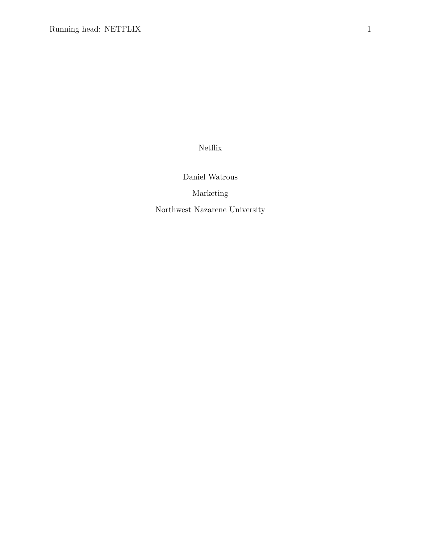Netflix

Daniel Watrous

Marketing

Northwest Nazarene University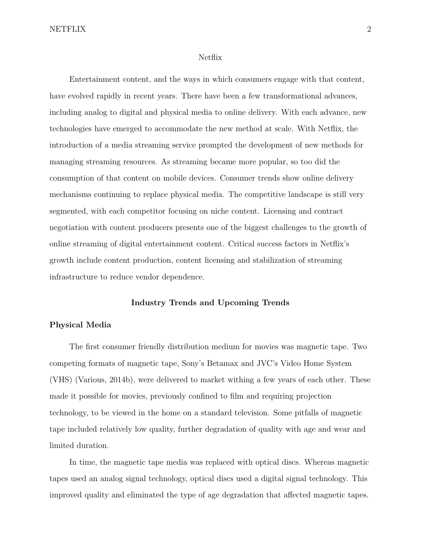### Netflix

Entertainment content, and the ways in which consumers engage with that content, have evolved rapidly in recent years. There have been a few transformational advances, including analog to digital and physical media to online delivery. With each advance, new technologies have emerged to accommodate the new method at scale. With Netflix, the introduction of a media streaming service prompted the development of new methods for managing streaming resources. As streaming became more popular, so too did the consumption of that content on mobile devices. Consumer trends show online delivery mechanisms continuing to replace physical media. The competitive landscape is still very segmented, with each competitor focusing on niche content. Licensing and contract negotiation with content producers presents one of the biggest challenges to the growth of online streaming of digital entertainment content. Critical success factors in Netflix's growth include content production, content licensing and stabilization of streaming infrastructure to reduce vendor dependence.

## **Industry Trends and Upcoming Trends**

#### **Physical Media**

The first consumer friendly distribution medium for movies was magnetic tape. Two competing formats of magnetic tape, Sony's Betamax and JVC's Video Home System (VHS) (Various, 2014b), were delivered to market withing a few years of each other. These made it possible for movies, previously confined to film and requiring projection technology, to be viewed in the home on a standard television. Some pitfalls of magnetic tape included relatively low quality, further degradation of quality with age and wear and limited duration.

In time, the magnetic tape media was replaced with optical discs. Whereas magnetic tapes used an analog signal technology, optical discs used a digital signal technology. This improved quality and eliminated the type of age degradation that affected magnetic tapes.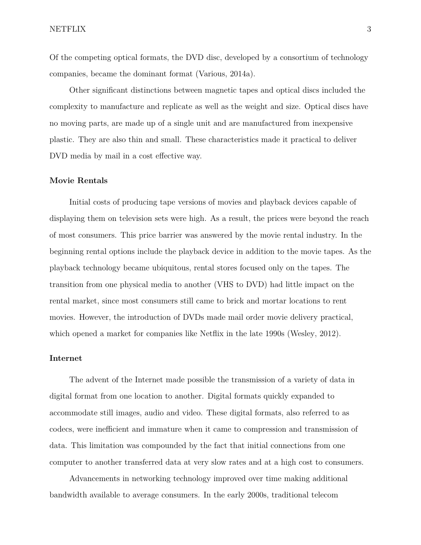Of the competing optical formats, the DVD disc, developed by a consortium of technology companies, became the dominant format (Various, 2014a).

Other significant distinctions between magnetic tapes and optical discs included the complexity to manufacture and replicate as well as the weight and size. Optical discs have no moving parts, are made up of a single unit and are manufactured from inexpensive plastic. They are also thin and small. These characteristics made it practical to deliver DVD media by mail in a cost effective way.

#### **Movie Rentals**

Initial costs of producing tape versions of movies and playback devices capable of displaying them on television sets were high. As a result, the prices were beyond the reach of most consumers. This price barrier was answered by the movie rental industry. In the beginning rental options include the playback device in addition to the movie tapes. As the playback technology became ubiquitous, rental stores focused only on the tapes. The transition from one physical media to another (VHS to DVD) had little impact on the rental market, since most consumers still came to brick and mortar locations to rent movies. However, the introduction of DVDs made mail order movie delivery practical, which opened a market for companies like Netflix in the late 1990s (Wesley, 2012).

### **Internet**

The advent of the Internet made possible the transmission of a variety of data in digital format from one location to another. Digital formats quickly expanded to accommodate still images, audio and video. These digital formats, also referred to as codecs, were inefficient and immature when it came to compression and transmission of data. This limitation was compounded by the fact that initial connections from one computer to another transferred data at very slow rates and at a high cost to consumers.

Advancements in networking technology improved over time making additional bandwidth available to average consumers. In the early 2000s, traditional telecom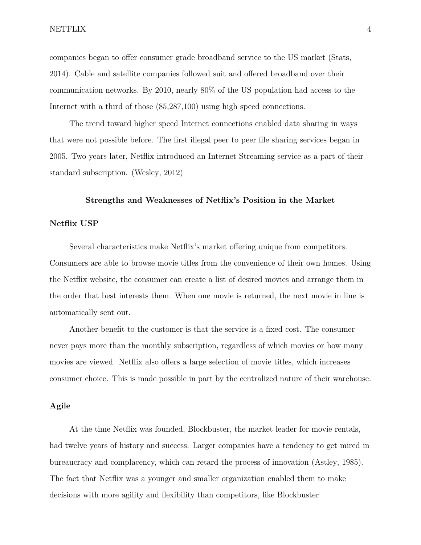companies began to offer consumer grade broadband service to the US market (Stats, 2014). Cable and satellite companies followed suit and offered broadband over their communication networks. By 2010, nearly 80% of the US population had access to the Internet with a third of those (85,287,100) using high speed connections.

The trend toward higher speed Internet connections enabled data sharing in ways that were not possible before. The first illegal peer to peer file sharing services began in 2005. Two years later, Netflix introduced an Internet Streaming service as a part of their standard subscription. (Wesley, 2012)

## **Strengths and Weaknesses of Netflix's Position in the Market**

## **Netflix USP**

Several characteristics make Netflix's market offering unique from competitors. Consumers are able to browse movie titles from the convenience of their own homes. Using the Netflix website, the consumer can create a list of desired movies and arrange them in the order that best interests them. When one movie is returned, the next movie in line is automatically sent out.

Another benefit to the customer is that the service is a fixed cost. The consumer never pays more than the monthly subscription, regardless of which movies or how many movies are viewed. Netflix also offers a large selection of movie titles, which increases consumer choice. This is made possible in part by the centralized nature of their warehouse.

# **Agile**

At the time Netflix was founded, Blockbuster, the market leader for movie rentals, had twelve years of history and success. Larger companies have a tendency to get mired in bureaucracy and complacency, which can retard the process of innovation (Astley, 1985). The fact that Netflix was a younger and smaller organization enabled them to make decisions with more agility and flexibility than competitors, like Blockbuster.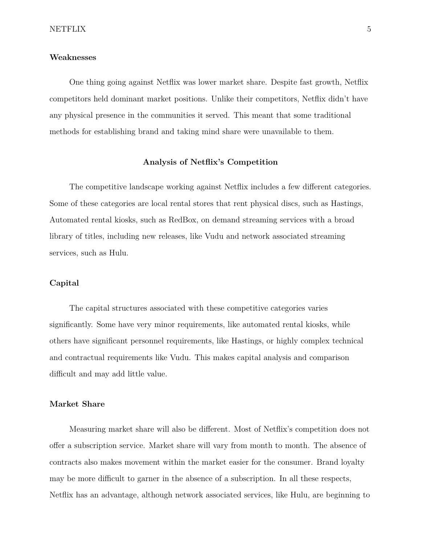# **Weaknesses**

One thing going against Netflix was lower market share. Despite fast growth, Netflix competitors held dominant market positions. Unlike their competitors, Netflix didn't have any physical presence in the communities it served. This meant that some traditional methods for establishing brand and taking mind share were unavailable to them.

#### **Analysis of Netflix's Competition**

The competitive landscape working against Netflix includes a few different categories. Some of these categories are local rental stores that rent physical discs, such as Hastings, Automated rental kiosks, such as RedBox, on demand streaming services with a broad library of titles, including new releases, like Vudu and network associated streaming services, such as Hulu.

# **Capital**

The capital structures associated with these competitive categories varies significantly. Some have very minor requirements, like automated rental kiosks, while others have significant personnel requirements, like Hastings, or highly complex technical and contractual requirements like Vudu. This makes capital analysis and comparison difficult and may add little value.

## **Market Share**

Measuring market share will also be different. Most of Netflix's competition does not offer a subscription service. Market share will vary from month to month. The absence of contracts also makes movement within the market easier for the consumer. Brand loyalty may be more difficult to garner in the absence of a subscription. In all these respects, Netflix has an advantage, although network associated services, like Hulu, are beginning to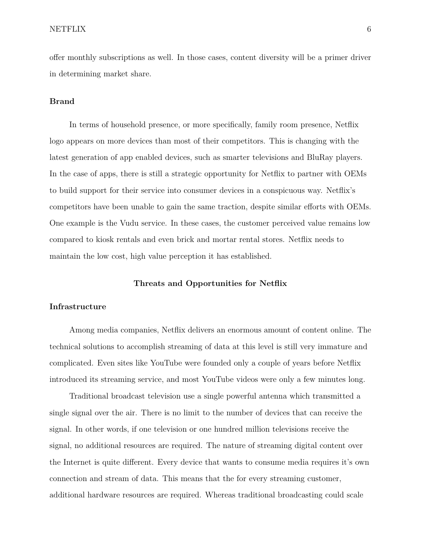offer monthly subscriptions as well. In those cases, content diversity will be a primer driver in determining market share.

### **Brand**

In terms of household presence, or more specifically, family room presence, Netflix logo appears on more devices than most of their competitors. This is changing with the latest generation of app enabled devices, such as smarter televisions and BluRay players. In the case of apps, there is still a strategic opportunity for Netflix to partner with OEMs to build support for their service into consumer devices in a conspicuous way. Netflix's competitors have been unable to gain the same traction, despite similar efforts with OEMs. One example is the Vudu service. In these cases, the customer perceived value remains low compared to kiosk rentals and even brick and mortar rental stores. Netflix needs to maintain the low cost, high value perception it has established.

# **Threats and Opportunities for Netflix**

# **Infrastructure**

Among media companies, Netflix delivers an enormous amount of content online. The technical solutions to accomplish streaming of data at this level is still very immature and complicated. Even sites like YouTube were founded only a couple of years before Netflix introduced its streaming service, and most YouTube videos were only a few minutes long.

Traditional broadcast television use a single powerful antenna which transmitted a single signal over the air. There is no limit to the number of devices that can receive the signal. In other words, if one television or one hundred million televisions receive the signal, no additional resources are required. The nature of streaming digital content over the Internet is quite different. Every device that wants to consume media requires it's own connection and stream of data. This means that the for every streaming customer, additional hardware resources are required. Whereas traditional broadcasting could scale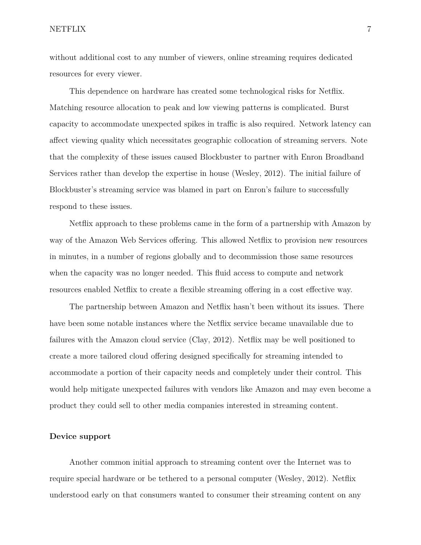without additional cost to any number of viewers, online streaming requires dedicated resources for every viewer.

This dependence on hardware has created some technological risks for Netflix. Matching resource allocation to peak and low viewing patterns is complicated. Burst capacity to accommodate unexpected spikes in traffic is also required. Network latency can affect viewing quality which necessitates geographic collocation of streaming servers. Note that the complexity of these issues caused Blockbuster to partner with Enron Broadband Services rather than develop the expertise in house (Wesley, 2012). The initial failure of Blockbuster's streaming service was blamed in part on Enron's failure to successfully respond to these issues.

Netflix approach to these problems came in the form of a partnership with Amazon by way of the Amazon Web Services offering. This allowed Netflix to provision new resources in minutes, in a number of regions globally and to decommission those same resources when the capacity was no longer needed. This fluid access to compute and network resources enabled Netflix to create a flexible streaming offering in a cost effective way.

The partnership between Amazon and Netflix hasn't been without its issues. There have been some notable instances where the Netflix service became unavailable due to failures with the Amazon cloud service (Clay, 2012). Netflix may be well positioned to create a more tailored cloud offering designed specifically for streaming intended to accommodate a portion of their capacity needs and completely under their control. This would help mitigate unexpected failures with vendors like Amazon and may even become a product they could sell to other media companies interested in streaming content.

## **Device support**

Another common initial approach to streaming content over the Internet was to require special hardware or be tethered to a personal computer (Wesley, 2012). Netflix understood early on that consumers wanted to consumer their streaming content on any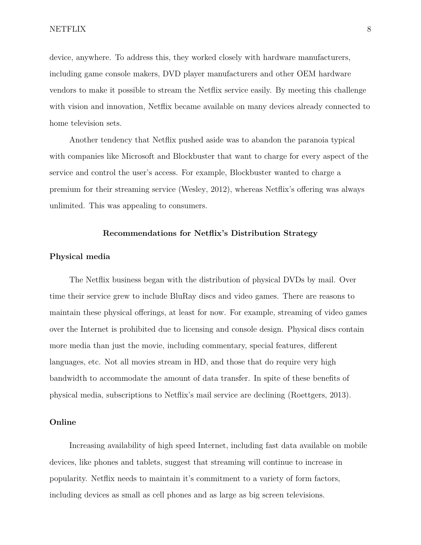device, anywhere. To address this, they worked closely with hardware manufacturers, including game console makers, DVD player manufacturers and other OEM hardware vendors to make it possible to stream the Netflix service easily. By meeting this challenge with vision and innovation, Netflix became available on many devices already connected to home television sets.

Another tendency that Netflix pushed aside was to abandon the paranoia typical with companies like Microsoft and Blockbuster that want to charge for every aspect of the service and control the user's access. For example, Blockbuster wanted to charge a premium for their streaming service (Wesley, 2012), whereas Netflix's offering was always unlimited. This was appealing to consumers.

#### **Recommendations for Netflix's Distribution Strategy**

#### **Physical media**

The Netflix business began with the distribution of physical DVDs by mail. Over time their service grew to include BluRay discs and video games. There are reasons to maintain these physical offerings, at least for now. For example, streaming of video games over the Internet is prohibited due to licensing and console design. Physical discs contain more media than just the movie, including commentary, special features, different languages, etc. Not all movies stream in HD, and those that do require very high bandwidth to accommodate the amount of data transfer. In spite of these benefits of physical media, subscriptions to Netflix's mail service are declining (Roettgers, 2013).

#### **Online**

Increasing availability of high speed Internet, including fast data available on mobile devices, like phones and tablets, suggest that streaming will continue to increase in popularity. Netflix needs to maintain it's commitment to a variety of form factors, including devices as small as cell phones and as large as big screen televisions.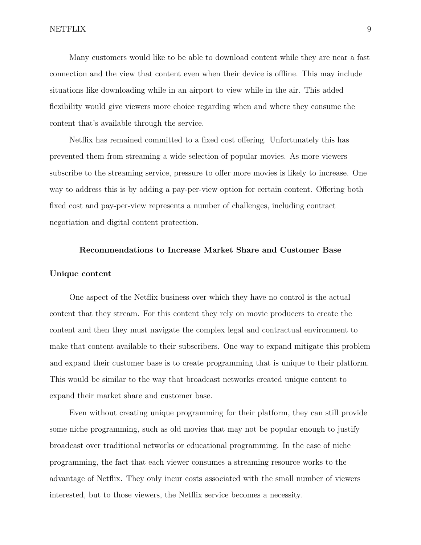Many customers would like to be able to download content while they are near a fast connection and the view that content even when their device is offline. This may include situations like downloading while in an airport to view while in the air. This added flexibility would give viewers more choice regarding when and where they consume the content that's available through the service.

Netflix has remained committed to a fixed cost offering. Unfortunately this has prevented them from streaming a wide selection of popular movies. As more viewers subscribe to the streaming service, pressure to offer more movies is likely to increase. One way to address this is by adding a pay-per-view option for certain content. Offering both fixed cost and pay-per-view represents a number of challenges, including contract negotiation and digital content protection.

# **Recommendations to Increase Market Share and Customer Base**

### **Unique content**

One aspect of the Netflix business over which they have no control is the actual content that they stream. For this content they rely on movie producers to create the content and then they must navigate the complex legal and contractual environment to make that content available to their subscribers. One way to expand mitigate this problem and expand their customer base is to create programming that is unique to their platform. This would be similar to the way that broadcast networks created unique content to expand their market share and customer base.

Even without creating unique programming for their platform, they can still provide some niche programming, such as old movies that may not be popular enough to justify broadcast over traditional networks or educational programming. In the case of niche programming, the fact that each viewer consumes a streaming resource works to the advantage of Netflix. They only incur costs associated with the small number of viewers interested, but to those viewers, the Netflix service becomes a necessity.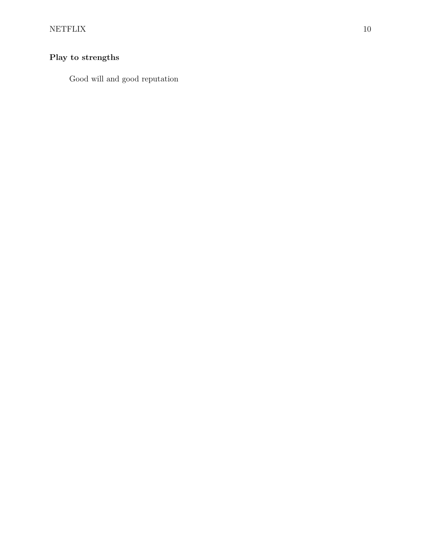# **Play to strengths**

Good will and good reputation